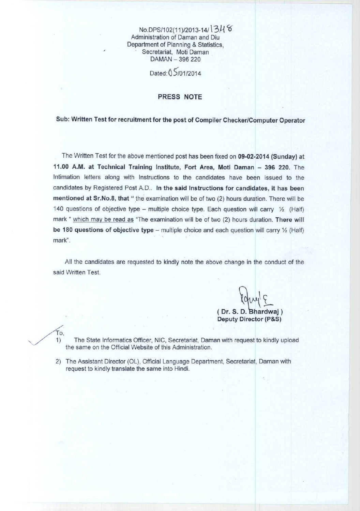No.DPS/102(11)/2013-14/ 3H 6 Administration **of Daman and Diu Department of Planning** & **Statistics, Secretariat**, **Moti Daman** DAMAN - 396 220

**Dated** : Q 5/01/2014

## **PRESS NOTE**

## **Sub: Written Test for recruitment for the post of Compiler Checker**/**Computer Operator**

The Written Test for the above mentioned post has been fixed **on 09**-02-2014 (**Sunday) at** 11.00 A.**M. at Technical Training Institute** , **Fort Area** , **Moti Daman** - 396 220. The Intimation letters along with Instructions to the candidates have been issued to the candidates by Registered Post A. **D.. In the said Instructions for candidates** , **it has been mentioned at Sr**. **No.8, that** " the examination will be of two (2) hours duration. There will be 140 questions of objective type – multiple choice type. Each question will carry  $\frac{1}{2}$  (Half) mark " which may be **read as** "The examination will be of two (2) hours duration. There will **be 180 questions of objective type** – multiple choice and each question will carry 1/2 (Half) mark".

All the **candidates are requested to kindly note the above change in the conduct of the** said Written Test.

**( Dr. S. D. Bhardwaj )** Deputy Director (P&S)

**1) The State Informatics Officer, NIC, Secretariat** , **Daman with request to kindly upload the same on the Official Website of this Administration.**

2) The Assistant Director (OL), Official Language **Department**, **Secretariat**, **Daman with request to kindly translate** the same into Hindi.

To,